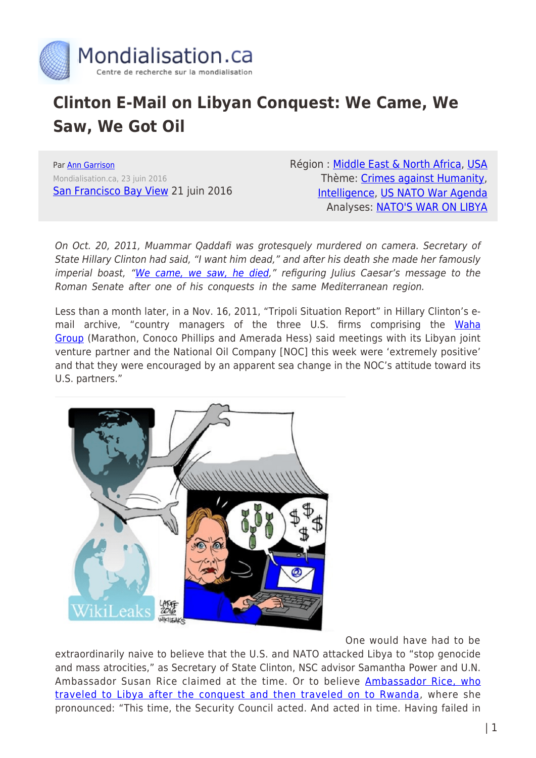

## **Clinton E-Mail on Libyan Conquest: We Came, We Saw, We Got Oil**

Par [Ann Garrison](https://www.mondialisation.ca/author/ann-garrison) Mondialisation.ca, 23 juin 2016 [San Francisco Bay View](http://sfbayview.com/2016/06/clinton-e-mail-on-libyan-conquest-we-came-we-saw-we-got-oil/) 21 juin 2016 Région : [Middle East & North Africa,](https://www.mondialisation.ca/region/middle-east) [USA](https://www.mondialisation.ca/region/usa) Thème: [Crimes against Humanity](https://www.mondialisation.ca/theme/crimes-against-humanity), [Intelligence](https://www.mondialisation.ca/theme/intelligence), [US NATO War Agenda](https://www.mondialisation.ca/theme/us-nato-war-agenda) Analyses: [NATO'S WAR ON LIBYA](https://www.mondialisation.ca/indepthreport/nato-s-war-on-libya)

On Oct. 20, 2011, Muammar Qaddafi was grotesquely murdered on camera. Secretary of State Hillary Clinton had said, "I want him dead," and after his death she made her famously imperial boast, "[We came, we saw, he died,](https://www.youtube.com/watch?v=Fgcd1ghag5Y)" refiguring Julius Caesar's message to the Roman Senate after one of his conquests in the same Mediterranean region.

Less than a month later, in a Nov. 16, 2011, "Tripoli Situation Report" in Hillary Clinton's e-mail archive, "country managers of the three U.S. firms comprising the [Waha](https://en.wikipedia.org/wiki/Waha_Oil_Company) [Group](https://en.wikipedia.org/wiki/Waha_Oil_Company) (Marathon, Conoco Phillips and Amerada Hess) said meetings with its Libyan joint venture partner and the National Oil Company [NOC] this week were 'extremely positive' and that they were encouraged by an apparent sea change in the NOC's attitude toward its U.S. partners."



One would have had to be

extraordinarily naive to believe that the U.S. and NATO attacked Libya to "stop genocide and mass atrocities," as Secretary of State Clinton, NSC advisor Samantha Power and U.N. Ambassador Susan Rice claimed at the time. Or to believe [Ambassador Rice, who](http://www.anngarrison.com/audio/susan-rice-in-libya-and-rwanda-for-the-us-r2p) [traveled to Libya after the conquest and then traveled on to Rwanda](http://www.anngarrison.com/audio/susan-rice-in-libya-and-rwanda-for-the-us-r2p), where she pronounced: "This time, the Security Council acted. And acted in time. Having failed in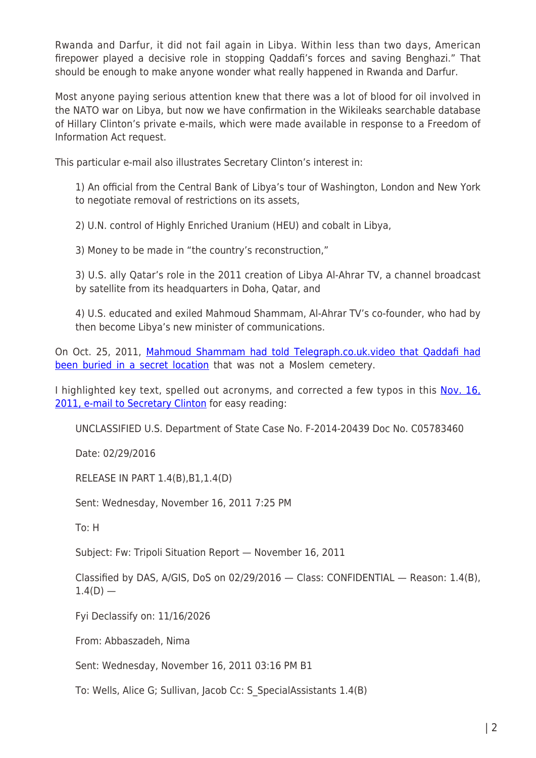Rwanda and Darfur, it did not fail again in Libya. Within less than two days, American firepower played a decisive role in stopping Qaddafi's forces and saving Benghazi." That should be enough to make anyone wonder what really happened in Rwanda and Darfur.

Most anyone paying serious attention knew that there was a lot of blood for oil involved in the NATO war on Libya, but now we have confirmation in the Wikileaks searchable database of Hillary Clinton's private e-mails, which were made available in response to a Freedom of Information Act request.

This particular e-mail also illustrates Secretary Clinton's interest in:

1) An official from the Central Bank of Libya's tour of Washington, London and New York to negotiate removal of restrictions on its assets,

2) U.N. control of Highly Enriched Uranium (HEU) and cobalt in Libya,

3) Money to be made in "the country's reconstruction,"

3) U.S. ally Qatar's role in the 2011 creation of Libya Al-Ahrar TV, a channel broadcast by satellite from its headquarters in Doha, Qatar, and

4) U.S. educated and exiled Mahmoud Shammam, Al-Ahrar TV's co-founder, who had by then become Libya's new minister of communications.

On Oct. 25, 2011, [Mahmoud Shammam had told Telegraph.co.uk.video that Qaddafi had](https://www.youtube.com/watch?v=lyuH7f0SNZ0) [been buried in a secret location](https://www.youtube.com/watch?v=lyuH7f0SNZ0) that was not a Moslem cemetery.

I highlighted key text, spelled out acronyms, and corrected a few typos in this Nov. 16. [2011, e-mail to Secretary Clinton](https://wikileaks.org/clinton-emails/emailid/10225) for easy reading:

UNCLASSIFIED U.S. Department of State Case No. F-2014-20439 Doc No. C05783460

Date: 02/29/2016

RELEASE IN PART 1.4(B),B1,1.4(D)

Sent: Wednesday, November 16, 2011 7:25 PM

To: H

Subject: Fw: Tripoli Situation Report — November 16, 2011

Classified by DAS, A/GIS, DoS on 02/29/2016 — Class: CONFIDENTIAL — Reason: 1.4(B),  $1.4(D)$  —

Fyi Declassify on: 11/16/2026

From: Abbaszadeh, Nima

Sent: Wednesday, November 16, 2011 03:16 PM B1

To: Wells, Alice G; Sullivan, Jacob Cc: S\_SpecialAssistants 1.4(B)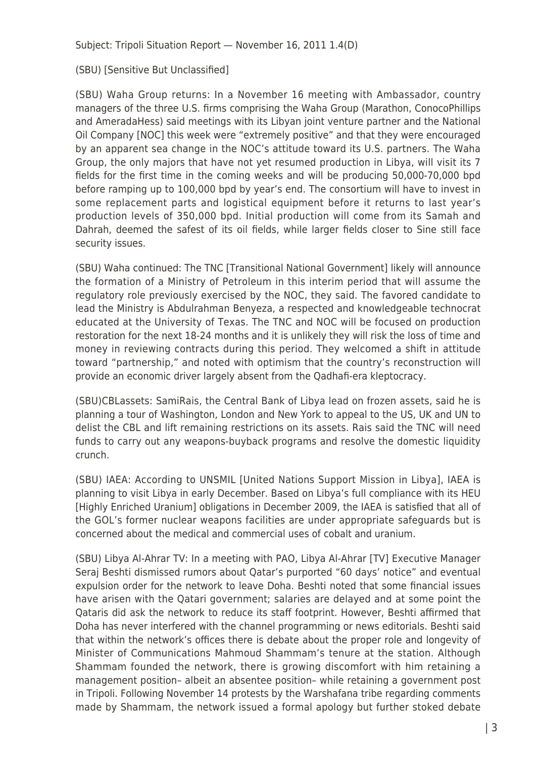Subject: Tripoli Situation Report — November 16, 2011 1.4(D)

(SBU) [Sensitive But Unclassified]

(SBU) Waha Group returns: In a November 16 meeting with Ambassador, country managers of the three U.S. firms comprising the Waha Group (Marathon, ConocoPhillips and AmeradaHess) said meetings with its Libyan joint venture partner and the National Oil Company [NOC] this week were "extremely positive" and that they were encouraged by an apparent sea change in the NOC's attitude toward its U.S. partners. The Waha Group, the only majors that have not yet resumed production in Libya, will visit its 7 fields for the first time in the coming weeks and will be producing 50,000-70,000 bpd before ramping up to 100,000 bpd by year's end. The consortium will have to invest in some replacement parts and logistical equipment before it returns to last year's production levels of 350,000 bpd. Initial production will come from its Samah and Dahrah, deemed the safest of its oil fields, while larger fields closer to Sine still face security issues.

(SBU) Waha continued: The TNC [Transitional National Government] likely will announce the formation of a Ministry of Petroleum in this interim period that will assume the regulatory role previously exercised by the NOC, they said. The favored candidate to lead the Ministry is Abdulrahman Benyeza, a respected and knowledgeable technocrat educated at the University of Texas. The TNC and NOC will be focused on production restoration for the next 18-24 months and it is unlikely they will risk the loss of time and money in reviewing contracts during this period. They welcomed a shift in attitude toward "partnership," and noted with optimism that the country's reconstruction will provide an economic driver largely absent from the Qadhafi-era kleptocracy.

(SBU)CBLassets: SamiRais, the Central Bank of Libya lead on frozen assets, said he is planning a tour of Washington, London and New York to appeal to the US, UK and UN to delist the CBL and lift remaining restrictions on its assets. Rais said the TNC will need funds to carry out any weapons-buyback programs and resolve the domestic liquidity crunch.

(SBU) IAEA: According to UNSMIL [United Nations Support Mission in Libya], IAEA is planning to visit Libya in early December. Based on Libya's full compliance with its HEU [Highly Enriched Uranium] obligations in December 2009, the IAEA is satisfied that all of the GOL's former nuclear weapons facilities are under appropriate safeguards but is concerned about the medical and commercial uses of cobalt and uranium.

(SBU) Libya Al-Ahrar TV: In a meeting with PAO, Libya Al-Ahrar [TV] Executive Manager Seraj Beshti dismissed rumors about Qatar's purported "60 days' notice" and eventual expulsion order for the network to leave Doha. Beshti noted that some financial issues have arisen with the Qatari government; salaries are delayed and at some point the Qataris did ask the network to reduce its staff footprint. However, Beshti affirmed that Doha has never interfered with the channel programming or news editorials. Beshti said that within the network's offices there is debate about the proper role and longevity of Minister of Communications Mahmoud Shammam's tenure at the station. Although Shammam founded the network, there is growing discomfort with him retaining a management position– albeit an absentee position– while retaining a government post in Tripoli. Following November 14 protests by the Warshafana tribe regarding comments made by Shammam, the network issued a formal apology but further stoked debate